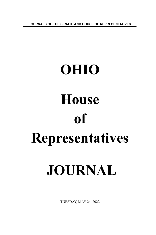**JOURNALS OF THE SENATE AND HOUSE OF REPRESENTATIVES**

# **OHIO House of Representatives JOURNAL**

TUESDAY, MAY 24, 2022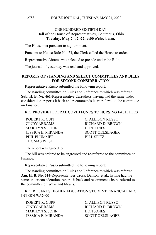#### HOUSE JOURNAL, TUESDAY, MAY 24, 2022

# ONE HUNDRED SIXTIETH DAY Hall of the House of Representatives, Columbus, Ohio **Tuesday, May 24, 2022, 9:00 o'clock a.m.**

The House met pursuant to adjournment.

Pursuant to House Rule No. 23, the Clerk called the House to order.

Representative Abrams was selected to preside under the Rule.

The journal of yesterday was read and approved.

### **REPORTS OF STANDING AND SELECT COMMITTEES AND BILLS FOR SECOND CONSIDERATION**

Representative Russo submitted the following report:

The standing committee on Rules and Reference to which was referred **Sub. H. B. No. 461**-Representative Carruthers, having had the same under consideration, reports it back and recommends its re-referral to the committee on Finance.

RE: PROVIDE FEDERAL COVID FUNDS TO NURSING FACILITIES

ROBERT R. CUPP C. ALLISON RUSSO CINDY ABRAMS RICHARD D. BROWN MARILYN S. JOHN DON JONES JESSICA E. MIRANDA SCOTT OELSLAGER PHIL PLUMMER
BILL SEITZ THOMAS WEST

The report was agreed to.

The bill was ordered to be engrossed and re-referred to the committee on Finance.

Representative Russo submitted the following report:

The standing committee on Rules and Reference to which was referred **Am. H. B. No. 514**-Representatives Cross, Denson, et al., having had the same under consideration, reports it back and recommends its re-referral to the committee on Ways and Means.

RE: REGARDS HIGHER EDUCATION STUDENT FINANCIAL AID, INTERN WAGES

ROBERT R. CUPP C. ALLISON RUSSO CINDY ABRAMS RICHARD D. BROWN MARILYN S. JOHN DON JONES JESSICA E. MIRANDA SCOTT OELSLAGER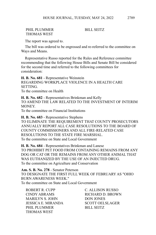# PHIL PLUMMER
BILL SEITZ THOMAS WEST

The report was agreed to.

The bill was ordered to be engrossed and re-referred to the committee on Ways and Means.

Representative Russo reported for the Rules and Reference committee recommending that the following House Bills and Senate Bill be considered for the second time and referred to the following committees for consideration:

**H. B. No. 681** - Representative Weinstein REGARDING WORKPLACE VIOLENCE IN A HEALTH CARE **SETTING** To the committee on Health

**H. B. No. 682** - Representatives Brinkman and Kelly TO AMEND THE LAW RELATED TO THE INVESTMENT OF INTERIM MONEY.

To the committee on Financial Institutions

**H. B. No. 683** - Representative Stephens TO ELIMINATE THE REQUIREMENT THAT COUNTY PROSECUTORS ANNUALLY REPORT ALL CASE RESOLUTIONS TO THE BOARD OF COUNTY COMMISSIONERS AND ALL FIRE-RELATED CASE RESOLUTIONS TO THE STATE FIRE MARSHAL. To the committee on State and Local Government

**H. B. No. 684** - Representatives Brinkman and Lanese TO PROHIBIT PET FOOD FROM CONTAINING REMAINS FROM ANY DOG OR CAT OR THE REMAINS FROM ANY OTHER ANIMAL THAT WAS EUTHANIZED BY THE USE OF AN INJECTED DRUG. To the committee on Agriculture and Conservation

**Am. S. B. No. 278** - Senator Peterson TO DESIGNATE THE FIRST FULL WEEK OF FEBRUARY AS "OHIO BURN AWARENESS WEEK." To the committee on State and Local Government

ROBERT R. CUPP C. ALLISON RUSSO CINDY ABRAMS RICHARD D. BROWN MARILYN S. JOHN DON JONES JESSICA E. MIRANDA SCOTT OELSLAGER PHIL PLUMMER
BILL SEITZ THOMAS WEST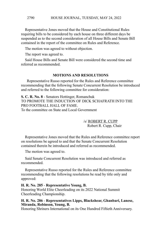Representative Jones moved that the House and Constitutional Rules requiring bills to be considered by each house on three different days be suspended as to the second consideration of all House Bills and Senate Bill contained in the report of the committee on Rules and Reference.

The motion was agreed to without objection.

The report was agreed to.

Said House Bills and Senate Bill were considered the second time and referred as recommended.

# **MOTIONS AND RESOLUTIONS**

 Representative Russo reported for the Rules and Reference committee recommending that the following Senate Concurrent Resolution be introduced and referred to the following committee for consideration:

**S. C. R. No. 8** - Senators Hottinger, Romanchuk TO PROMOTE THE INDUCTION OF DICK SCHAFRATH INTO THE PRO FOOTBALL HALL OF FAME. To the committee on State and Local Government

> /s/ ROBERT R. CUPP Robert R. Cupp, Chair

Representative Jones moved that the Rules and Reference committee report on resolutions be agreed to and that the Senate Concurrent Resolution contained therein be introduced and referred as recommended.

The motion was agreed to.

Said Senate Concurrent Resolution was introduced and referred as recommended.

Representative Russo reported for the Rules and Reference committee recommending that the following resolutions be read by title only and approved:

#### **H. R. No. 285** - **Representative Young, B.**

Honoring World Elite Cheerleading on its 2022 National Summit Cheerleading Championship.

### **H. R. No. 286** - **Representatives Lipps, Blackshear, Ghanbari, Lanese, Miranda, Robinson, Young, B.**

Honoring Shriners International on its One Hundred Fiftieth Anniversary.